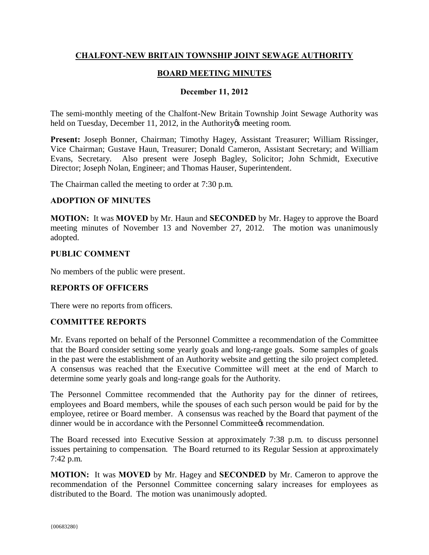# **CHALFONT-NEW BRITAIN TOWNSHIP JOINT SEWAGE AUTHORITY**

## **BOARD MEETING MINUTES**

### **December 11, 2012**

The semi-monthly meeting of the Chalfont-New Britain Township Joint Sewage Authority was held on Tuesday, December 11, 2012, in the Authority is meeting room.

**Present:** Joseph Bonner, Chairman; Timothy Hagey, Assistant Treasurer; William Rissinger, Vice Chairman; Gustave Haun, Treasurer; Donald Cameron, Assistant Secretary; and William Evans, Secretary. Also present were Joseph Bagley, Solicitor; John Schmidt, Executive Director; Joseph Nolan, Engineer; and Thomas Hauser, Superintendent.

The Chairman called the meeting to order at 7:30 p.m.

#### **ADOPTION OF MINUTES**

**MOTION:** It was **MOVED** by Mr. Haun and **SECONDED** by Mr. Hagey to approve the Board meeting minutes of November 13 and November 27, 2012. The motion was unanimously adopted.

#### **PUBLIC COMMENT**

No members of the public were present.

### **REPORTS OF OFFICERS**

There were no reports from officers.

### **COMMITTEE REPORTS**

Mr. Evans reported on behalf of the Personnel Committee a recommendation of the Committee that the Board consider setting some yearly goals and long-range goals. Some samples of goals in the past were the establishment of an Authority website and getting the silo project completed. A consensus was reached that the Executive Committee will meet at the end of March to determine some yearly goals and long-range goals for the Authority.

The Personnel Committee recommended that the Authority pay for the dinner of retirees, employees and Board members, while the spouses of each such person would be paid for by the employee, retiree or Board member. A consensus was reached by the Board that payment of the dinner would be in accordance with the Personnel Committee tecommendation.

The Board recessed into Executive Session at approximately 7:38 p.m. to discuss personnel issues pertaining to compensation. The Board returned to its Regular Session at approximately 7:42 p.m.

**MOTION:** It was **MOVED** by Mr. Hagey and **SECONDED** by Mr. Cameron to approve the recommendation of the Personnel Committee concerning salary increases for employees as distributed to the Board. The motion was unanimously adopted.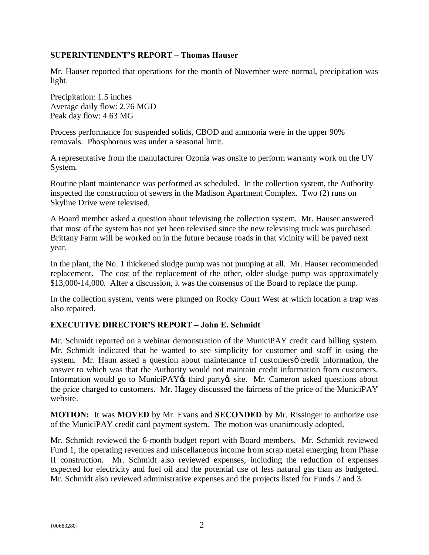### **SUPERINTENDENT'S REPORT – Thomas Hauser**

Mr. Hauser reported that operations for the month of November were normal, precipitation was light.

Precipitation: 1.5 inches Average daily flow: 2.76 MGD Peak day flow: 4.63 MG

Process performance for suspended solids, CBOD and ammonia were in the upper 90% removals. Phosphorous was under a seasonal limit.

A representative from the manufacturer Ozonia was onsite to perform warranty work on the UV System.

Routine plant maintenance was performed as scheduled. In the collection system, the Authority inspected the construction of sewers in the Madison Apartment Complex. Two (2) runs on Skyline Drive were televised.

A Board member asked a question about televising the collection system. Mr. Hauser answered that most of the system has not yet been televised since the new televising truck was purchased. Brittany Farm will be worked on in the future because roads in that vicinity will be paved next year.

In the plant, the No. 1 thickened sludge pump was not pumping at all. Mr. Hauser recommended replacement. The cost of the replacement of the other, older sludge pump was approximately \$13,000-14,000. After a discussion, it was the consensus of the Board to replace the pump.

In the collection system, vents were plunged on Rocky Court West at which location a trap was also repaired.

# **EXECUTIVE DIRECTOR'S REPORT – John E. Schmidt**

Mr. Schmidt reported on a webinar demonstration of the MuniciPAY credit card billing system. Mr. Schmidt indicated that he wanted to see simplicity for customer and staff in using the system. Mr. Haun asked a question about maintenance of customersø credit information, the answer to which was that the Authority would not maintain credit information from customers. Information would go to MuniciPAY $\alpha$  third party $\alpha$  site. Mr. Cameron asked questions about the price charged to customers. Mr. Hagey discussed the fairness of the price of the MuniciPAY website.

**MOTION:** It was **MOVED** by Mr. Evans and **SECONDED** by Mr. Rissinger to authorize use of the MuniciPAY credit card payment system. The motion was unanimously adopted.

Mr. Schmidt reviewed the 6-month budget report with Board members. Mr. Schmidt reviewed Fund 1, the operating revenues and miscellaneous income from scrap metal emerging from Phase II construction. Mr. Schmidt also reviewed expenses, including the reduction of expenses expected for electricity and fuel oil and the potential use of less natural gas than as budgeted. Mr. Schmidt also reviewed administrative expenses and the projects listed for Funds 2 and 3.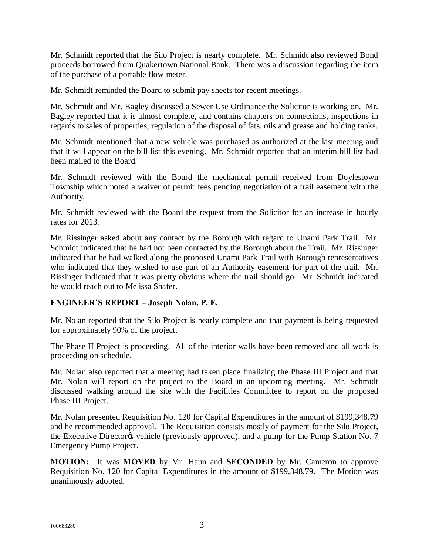Mr. Schmidt reported that the Silo Project is nearly complete. Mr. Schmidt also reviewed Bond proceeds borrowed from Quakertown National Bank. There was a discussion regarding the item of the purchase of a portable flow meter.

Mr. Schmidt reminded the Board to submit pay sheets for recent meetings.

Mr. Schmidt and Mr. Bagley discussed a Sewer Use Ordinance the Solicitor is working on. Mr. Bagley reported that it is almost complete, and contains chapters on connections, inspections in regards to sales of properties, regulation of the disposal of fats, oils and grease and holding tanks.

Mr. Schmidt mentioned that a new vehicle was purchased as authorized at the last meeting and that it will appear on the bill list this evening. Mr. Schmidt reported that an interim bill list had been mailed to the Board.

Mr. Schmidt reviewed with the Board the mechanical permit received from Doylestown Township which noted a waiver of permit fees pending negotiation of a trail easement with the Authority.

Mr. Schmidt reviewed with the Board the request from the Solicitor for an increase in hourly rates for 2013.

Mr. Rissinger asked about any contact by the Borough with regard to Unami Park Trail. Mr. Schmidt indicated that he had not been contacted by the Borough about the Trail. Mr. Rissinger indicated that he had walked along the proposed Unami Park Trail with Borough representatives who indicated that they wished to use part of an Authority easement for part of the trail. Mr. Rissinger indicated that it was pretty obvious where the trail should go. Mr. Schmidt indicated he would reach out to Melissa Shafer.

# **ENGINEER'S REPORT – Joseph Nolan, P. E.**

Mr. Nolan reported that the Silo Project is nearly complete and that payment is being requested for approximately 90% of the project.

The Phase II Project is proceeding. All of the interior walls have been removed and all work is proceeding on schedule.

Mr. Nolan also reported that a meeting had taken place finalizing the Phase III Project and that Mr. Nolan will report on the project to the Board in an upcoming meeting. Mr. Schmidt discussed walking around the site with the Facilities Committee to report on the proposed Phase III Project.

Mr. Nolan presented Requisition No. 120 for Capital Expenditures in the amount of \$199,348.79 and he recommended approval. The Requisition consists mostly of payment for the Silo Project, the Executive Director<sub>®</sub> vehicle (previously approved), and a pump for the Pump Station No. 7 Emergency Pump Project.

**MOTION:** It was **MOVED** by Mr. Haun and **SECONDED** by Mr. Cameron to approve Requisition No. 120 for Capital Expenditures in the amount of \$199,348.79. The Motion was unanimously adopted.